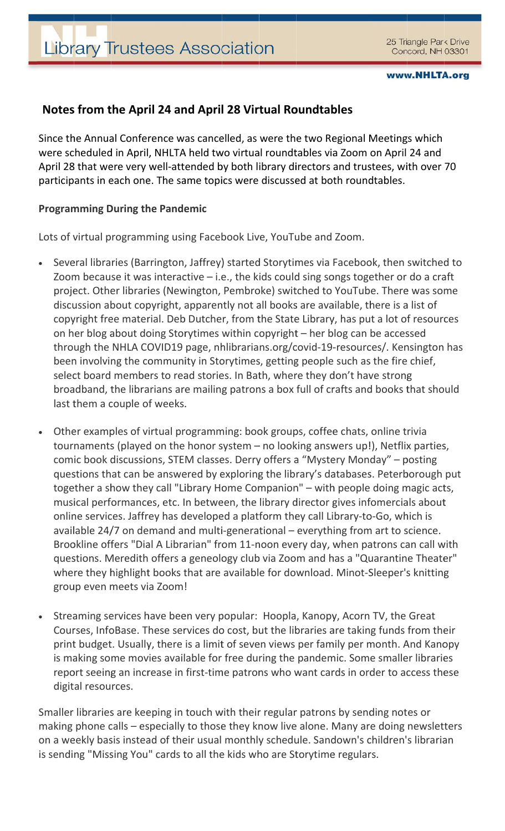## Notes from the April 24 and April 28 Virtual Roundtables

Since the Annual Conference was cancelled, as were the two Regional Meetings which were scheduled in April, NHLTA held two virtual roundtables via Zoom on April 24 and April 28 that were very well-attended by both library directors and trustees, with over 70 participants in each one. The same topics were discussed at both roundtables.

## **Programming During the Pandemic**

Lots of virtual programming using Facebook Live, YouTube and Zoom.

- Several libraries (Barrington, Jaffrey) started Storytimes via Facebook, then switched to  $\bullet$ Zoom because it was interactive  $-$  i.e., the kids could sing songs together or do a craft project. Other libraries (Newington, Pembroke) switched to YouTube. There was some discussion about copyright, apparently not all books are available, there is a list of copyright free material. Deb Dutcher, from the State Library, has put a lot of resources on her blog about doing Storytimes within copyright – her blog can be accessed through the NHLA COVID19 page, nhlibrarians.org/covid-19-resources/. Kensington has been involving the community in Storytimes, getting people such as the fire chief, select board members to read stories. In Bath, where they don't have strong broadband, the librarians are mailing patrons a box full of crafts and books that should last them a couple of weeks.
- Other examples of virtual programming: book groups, coffee chats, online trivia tournaments (played on the honor system  $-$  no looking answers up!), Netflix parties, comic book discussions, STEM classes. Derry offers a "Mystery Monday" - posting questions that can be answered by exploring the library's databases. Peterborough put together a show they call "Library Home Companion" - with people doing magic acts, musical performances, etc. In between, the library director gives infomercials about online services. Jaffrey has developed a platform they call Library-to-Go, which is available 24/7 on demand and multi-generational – everything from art to science. Brookline offers "Dial A Librarian" from 11-noon every day, when patrons can call with questions. Meredith offers a geneology club via Zoom and has a "Quarantine Theater" where they highlight books that are available for download. Minot-Sleeper's knitting group even meets via Zoom!
- Streaming services have been very popular: Hoopla, Kanopy, Acorn TV, the Great  $\bullet$ Courses, InfoBase. These services do cost, but the libraries are taking funds from their print budget. Usually, there is a limit of seven views per family per month. And Kanopy is making some movies available for free during the pandemic. Some smaller libraries report seeing an increase in first-time patrons who want cards in order to access these digital resources.

Smaller libraries are keeping in touch with their regular patrons by sending notes or making phone calls - especially to those they know live alone. Many are doing newsletters on a weekly basis instead of their usual monthly schedule. Sandown's children's librarian is sending "Missing You" cards to all the kids who are Storytime regulars.